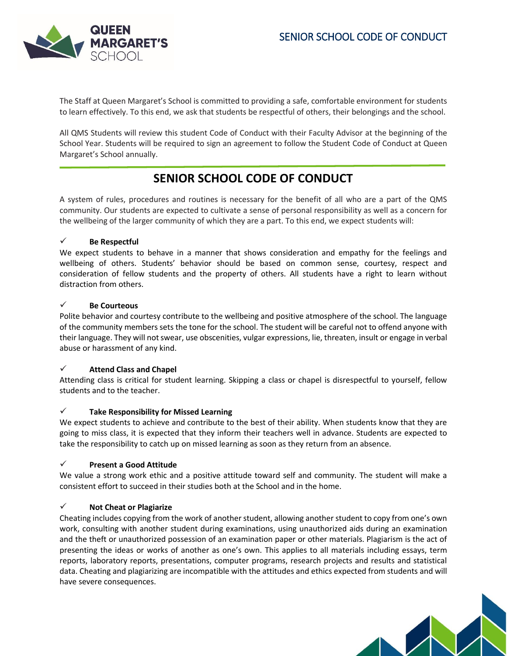## SENIOR SCHOOL CODE OF CONDUCT



The Staff at Queen Margaret's School is committed to providing a safe, comfortable environment for students to learn effectively. To this end, we ask that students be respectful of others, their belongings and the school.

All QMS Students will review this student Code of Conduct with their Faculty Advisor at the beginning of the School Year. Students will be required to sign an agreement to follow the Student Code of Conduct at Queen Margaret's School annually.

# **SENIOR SCHOOL CODE OF CONDUCT**

A system of rules, procedures and routines is necessary for the benefit of all who are a part of the QMS community. Our students are expected to cultivate a sense of personal responsibility as well as a concern for the wellbeing of the larger community of which they are a part. To this end, we expect students will:

## **Be Respectful**

We expect students to behave in a manner that shows consideration and empathy for the feelings and wellbeing of others. Students' behavior should be based on common sense, courtesy, respect and consideration of fellow students and the property of others. All students have a right to learn without distraction from others.

### **Be Courteous**

Polite behavior and courtesy contribute to the wellbeing and positive atmosphere of the school. The language of the community members sets the tone for the school. The student will be careful not to offend anyone with their language. They will not swear, use obscenities, vulgar expressions, lie, threaten, insult or engage in verbal abuse or harassment of any kind.

## **Attend Class and Chapel**

Attending class is critical for student learning. Skipping a class or chapel is disrespectful to yourself, fellow students and to the teacher.

### **Take Responsibility for Missed Learning**

We expect students to achieve and contribute to the best of their ability. When students know that they are going to miss class, it is expected that they inform their teachers well in advance. Students are expected to take the responsibility to catch up on missed learning as soon as they return from an absence.

## **Present a Good Attitude**

We value a strong work ethic and a positive attitude toward self and community. The student will make a consistent effort to succeed in their studies both at the School and in the home.

### **Not Cheat or Plagiarize**

Cheating includes copying from the work of another student, allowing another student to copy from one's own work, consulting with another student during examinations, using unauthorized aids during an examination and the theft or unauthorized possession of an examination paper or other materials. Plagiarism is the act of presenting the ideas or works of another as one's own. This applies to all materials including essays, term reports, laboratory reports, presentations, computer programs, research projects and results and statistical data. Cheating and plagiarizing are incompatible with the attitudes and ethics expected from students and will have severe consequences.